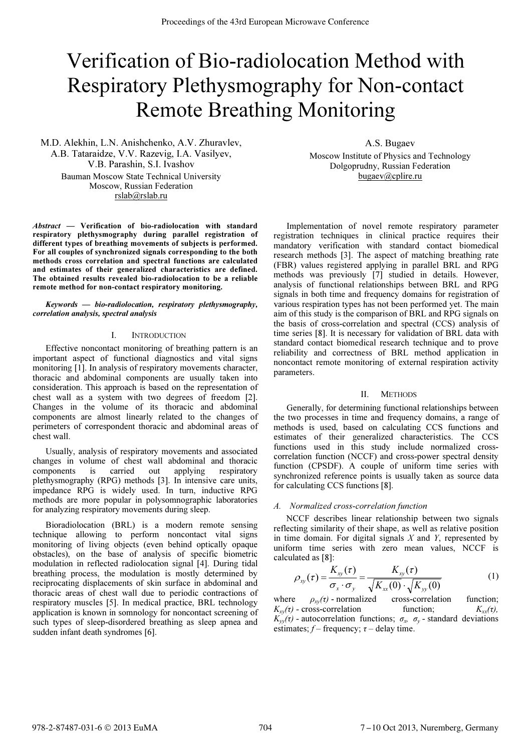# Verification of Bio-radiolocation Method with Respiratory Plethysmography for Non-contact Remote Breathing Monitoring

M.D. Alekhin, L.N. Anishchenko, A.V. Zhuravlev, A.B. Tataraidze, V.V. Razevig, I.A. Vasilyev, V.B. Parashin, S.I. Ivashov Bauman Moscow State Technical University Moscow, Russian Federation rslab@rslab.ru

Abstract — Verification of bio-radiolocation with standard respiratory plethysmography during parallel registration of different types of breathing movements of subjects is performed. For all couples of synchronized signals corresponding to the both methods cross correlation and spectral functions are calculated and estimates of their generalized characteristics are defined. The obtained results revealed bio-radiolocation to be a reliable remote method for non-contact respiratory monitoring.

Keywords — bio-radiolocation, respiratory plethysmography, correlation analysis, spectral analysis

### I. INTRODUCTION

Effective noncontact monitoring of breathing pattern is an important aspect of functional diagnostics and vital signs monitoring [1]. In analysis of respiratory movements character, thoracic and abdominal components are usually taken into consideration. This approach is based on the representation of chest wall as a system with two degrees of freedom [2]. Changes in the volume of its thoracic and abdominal components are almost linearly related to the changes of perimeters of correspondent thoracic and abdominal areas of chest wall.

Usually, analysis of respiratory movements and associated changes in volume of chest wall abdominal and thoracic components is carried out applying respiratory plethysmography (RPG) methods [3]. In intensive care units, impedance RPG is widely used. In turn, inductive RPG methods are more popular in polysomnographic laboratories for analyzing respiratory movements during sleep.

Bioradiolocation (BRL) is a modern remote sensing technique allowing to perform noncontact vital signs monitoring of living objects (even behind optically opaque obstacles), on the base of analysis of specific biometric modulation in reflected radiolocation signal [4]. During tidal breathing process, the modulation is mostly determined by reciprocating displacements of skin surface in abdominal and thoracic areas of chest wall due to periodic contractions of respiratory muscles [5]. In medical practice, BRL technology application is known in somnology for noncontact screening of such types of sleep-disordered breathing as sleep apnea and sudden infant death syndromes [6].

A.S. Bugaev Moscow Institute of Physics and Technology Dolgoprudny, Russian Federation bugaev@cplire.ru

Implementation of novel remote respiratory parameter registration techniques in clinical practice requires their mandatory verification with standard contact biomedical research methods [3]. The aspect of matching breathing rate (FBR) values registered applying in parallel BRL and RPG methods was previously [7] studied in details. However, analysis of functional relationships between BRL and RPG signals in both time and frequency domains for registration of various respiration types has not been performed yet. The main aim of this study is the comparison of BRL and RPG signals on the basis of cross-correlation and spectral (CCS) analysis of time series [8]. It is necessary for validation of BRL data with standard contact biomedical research technique and to prove reliability and correctness of BRL method application in noncontact remote monitoring of external respiration activity parameters.

#### II. METHODS

Generally, for determining functional relationships between the two processes in time and frequency domains, a range of methods is used, based on calculating CCS functions and estimates of their generalized characteristics. The CCS functions used in this study include normalized crosscorrelation function (NCCF) and cross-power spectral density function (CPSDF). A couple of uniform time series with synchronized reference points is usually taken as source data for calculating CCS functions [8].

#### A. Normalized cross-correlation function

NCCF describes linear relationship between two signals reflecting similarity of their shape, as well as relative position in time domain. For digital signals  $X$  and  $Y$ , represented by uniform time series with zero mean values, NCCF is calculated as [8]:

$$
\rho_{xy}(\tau) = \frac{K_{xy}(\tau)}{\sigma_x \cdot \sigma_y} = \frac{K_{xy}(\tau)}{\sqrt{K_{xx}(0)} \cdot \sqrt{K_{yy}(0)}}
$$
(1)

where  $\rho_{xy}(\tau)$  - normalized cross-correlation function;<br>  $K_{xy}(\tau)$  - cross-correlation function;  $K_{xx}(\tau)$ ,  $K_{xy}(\tau)$  - cross-correlation  $K_{yy}(\tau)$  - autocorrelation functions;  $\sigma_x$ ,  $\sigma_y$  - standard deviations estimates;  $f$  – frequency;  $\tau$  – delay time.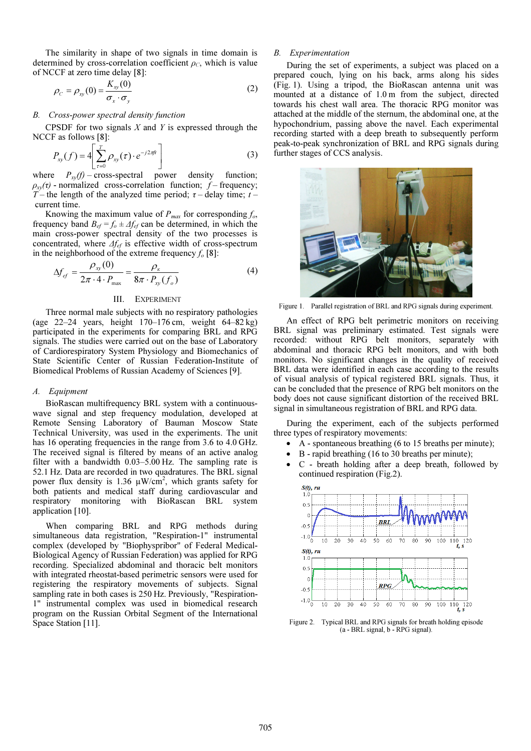The similarity in shape of two signals in time domain is determined by cross-correlation coefficient  $\rho_c$ , which is value of NCCF at zero time delay [8]:

$$
\rho_C = \rho_{xy}(0) = \frac{K_{xy}(0)}{\sigma_x \cdot \sigma_y} \tag{2}
$$

## B. Cross-power spectral density function

CPSDF for two signals  $X$  and  $Y$  is expressed through the NCCF as follows [8]:

$$
P_{xy}(f) = 4 \left[ \sum_{\tau=0}^{T} \rho_{xy}(\tau) \cdot e^{-j2\pi ft} \right]
$$
 (3)

where  $P_{xy}(f)$  – cross-spectral power density function;  $\rho_{xy}(\tau)$  - normalized cross-correlation function;  $\dot{f}$  – frequency; T – the length of the analyzed time period;  $\tau$  – delay time; t – current time.

Knowing the maximum value of  $P_{max}$  for corresponding  $f_o$ , frequency band  $B_{ef} = f_o \pm \Delta f_{ef}$  can be determined, in which the main cross-power spectral density of the two processes is concentrated, where  $\Delta f_{ef}$  is effective width of cross-spectrum in the neighborhood of the extreme frequency  $f_0$  [8]:

$$
\Delta f_{ef} = \frac{\rho_{xy}(0)}{2\pi \cdot 4 \cdot P_{\text{max}}} = \frac{\rho_{\kappa}}{8\pi \cdot P_{xy}(f_o)}
$$
(4)

## III. EXPERIMENT

Three normal male subjects with no respiratory pathologies (age 22–24 years, height 170–176 cm, weight 64–82 kg) participated in the experiments for comparing BRL and RPG signals. The studies were carried out on the base of Laboratory of Cardiorespiratory System Physiology and Biomechanics of State Scientific Center of Russian Federation-Institute of Biomedical Problems of Russian Academy of Sciences [9].

#### A. Equipment

BioRascan multifrequency BRL system with a continuouswave signal and step frequency modulation, developed at Remote Sensing Laboratory of Bauman Moscow State Technical University, was used in the experiments. The unit has 16 operating frequencies in the range from 3.6 to 4.0 GHz. The received signal is filtered by means of an active analog filter with a bandwidth 0.03–5.00 Hz. The sampling rate is 52.1 Hz. Data are recorded in two quadratures. The BRL signal power flux density is 1.36  $\mu$ W/cm<sup>2</sup>, which grants safety for both patients and medical staff during cardiovascular and respiratory monitoring with BioRascan BRL system application [10].

When comparing BRL and RPG methods during simultaneous data registration, "Respiration-1" instrumental complex (developed by "Biophyspribor" of Federal Medical-Biological Agency of Russian Federation) was applied for RPG recording. Specialized abdominal and thoracic belt monitors with integrated rheostat-based perimetric sensors were used for registering the respiratory movements of subjects. Signal sampling rate in both cases is 250 Hz. Previously, "Respiration-1" instrumental complex was used in biomedical research program on the Russian Orbital Segment of the International Space Station [11].

### B. Experimentation

During the set of experiments, a subject was placed on a prepared couch, lying on his back, arms along his sides (Fig. 1). Using a tripod, the BioRascan antenna unit was mounted at a distance of 1.0 m from the subject, directed towards his chest wall area. The thoracic RPG monitor was attached at the middle of the sternum, the abdominal one, at the hypochondrium, passing above the navel. Each experimental recording started with a deep breath to subsequently perform peak-to-peak synchronization of BRL and RPG signals during further stages of CCS analysis.



Figure 1. Parallel registration of BRL and RPG signals during experiment.

An effect of RPG belt perimetric monitors on receiving BRL signal was preliminary estimated. Test signals were recorded: without RPG belt monitors, separately with abdominal and thoracic RPG belt monitors, and with both monitors. No significant changes in the quality of received BRL data were identified in each case according to the results of visual analysis of typical registered BRL signals. Thus, it can be concluded that the presence of RPG belt monitors on the body does not cause significant distortion of the received BRL signal in simultaneous registration of BRL and RPG data.

During the experiment, each of the subjects performed three types of respiratory movements:

- A spontaneous breathing (6 to 15 breaths per minute);
- B rapid breathing (16 to 30 breaths per minute);
- C breath holding after a deep breath, followed by continued respiration (Fig.2).



Figure 2. Typical BRL and RPG signals for breath holding episode (a - BRL signal, b - RPG signal).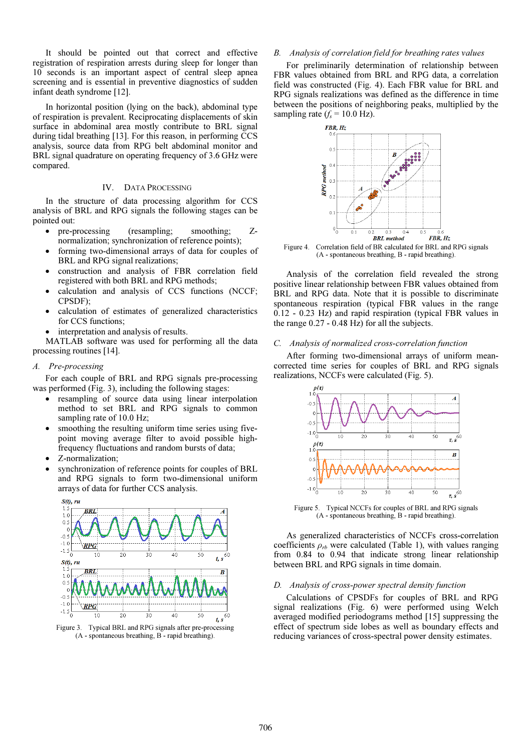It should be pointed out that correct and effective registration of respiration arrests during sleep for longer than 10 seconds is an important aspect of central sleep apnea screening and is essential in preventive diagnostics of sudden infant death syndrome [12].

In horizontal position (lying on the back), abdominal type of respiration is prevalent. Reciprocating displacements of skin surface in abdominal area mostly contribute to BRL signal during tidal breathing [13]. For this reason, in performing CCS analysis, source data from RPG belt abdominal monitor and BRL signal quadrature on operating frequency of 3.6 GHz were compared.

## IV. DATA PROCESSING

In the structure of data processing algorithm for CCS analysis of BRL and RPG signals the following stages can be pointed out:

- pre-processing (resampling; smoothing; Znormalization; synchronization of reference points);
- forming two-dimensional arrays of data for couples of BRL and RPG signal realizations;
- construction and analysis of FBR correlation field registered with both BRL and RPG methods;
- calculation and analysis of CCS functions (NCCF; CPSDF);
- calculation of estimates of generalized characteristics for CCS functions;
- interpretation and analysis of results.

MATLAB software was used for performing all the data processing routines [14].

## A. Pre-processing

For each couple of BRL and RPG signals pre-processing was performed (Fig. 3), including the following stages:

- resampling of source data using linear interpolation method to set BRL and RPG signals to common sampling rate of 10.0 Hz;
- smoothing the resulting uniform time series using fivepoint moving average filter to avoid possible highfrequency fluctuations and random bursts of data;
- Z-normalization;
- synchronization of reference points for couples of BRL and RPG signals to form two-dimensional uniform arrays of data for further CCS analysis.



Figure 3. Typical BRL and RPG signals after pre-processing (A - spontaneous breathing, B - rapid breathing).

## B. Analysis of correlation field for breathing rates values

For preliminarily determination of relationship between FBR values obtained from BRL and RPG data, a correlation field was constructed (Fig. 4). Each FBR value for BRL and RPG signals realizations was defined as the difference in time between the positions of neighboring peaks, multiplied by the sampling rate  $(f_s = 10.0 \text{ Hz})$ .



Figure 4. Correlation field of BR calculated for BRL and RPG signals (A - spontaneous breathing, B - rapid breathing).

Analysis of the correlation field revealed the strong positive linear relationship between FBR values obtained from BRL and RPG data. Note that it is possible to discriminate spontaneous respiration (typical FBR values in the range 0.12 - 0.23 Hz) and rapid respiration (typical FBR values in the range 0.27 - 0.48 Hz) for all the subjects.

## C. Analysis of normalized cross-correlation function

After forming two-dimensional arrays of uniform meancorrected time series for couples of BRL and RPG signals realizations, NCCFs were calculated (Fig. 5).



Figure 5. Typical NCCFs for couples of BRL and RPG signals (A - spontaneous breathing, B - rapid breathing).

As generalized characteristics of NCCFs cross-correlation coefficients  $\rho_{rb}$  were calculated (Table 1), with values ranging from 0.84 to 0.94 that indicate strong linear relationship between BRL and RPG signals in time domain.

#### D. Analysis of cross-power spectral density function

Calculations of CPSDFs for couples of BRL and RPG signal realizations (Fig. 6) were performed using Welch averaged modified periodograms method [15] suppressing the effect of spectrum side lobes as well as boundary effects and reducing variances of cross-spectral power density estimates.